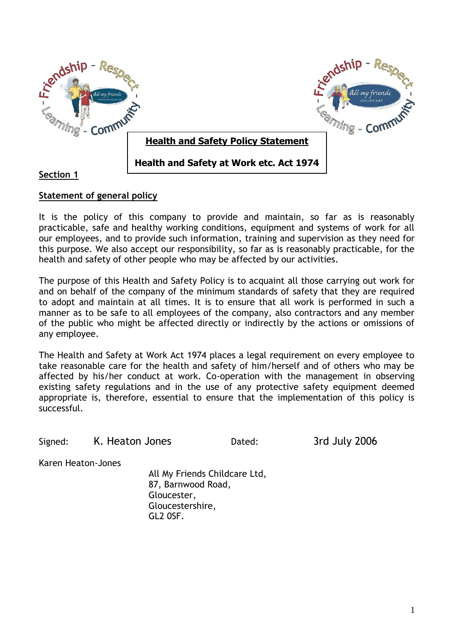

# **Section 1**

## **Statement of general policy**

It is the policy of this company to provide and maintain, so far as is reasonably practicable, safe and healthy working conditions, equipment and systems of work for all our employees, and to provide such information, training and supervision as they need for this purpose. We also accept our responsibility, so far as is reasonably practicable, for the health and safety of other people who may be affected by our activities.

The purpose of this Health and Safety Policy is to acquaint all those carrying out work for and on behalf of the company of the minimum standards of safety that they are required to adopt and maintain at all times. It is to ensure that all work is performed in such a manner as to be safe to all employees of the company, also contractors and any member of the public who might be affected directly or indirectly by the actions or omissions of any employee.

The Health and Safety at Work Act 1974 places a legal requirement on every employee to take reasonable care for the health and safety of him/herself and of others who may be affected by his/her conduct at work. Co-operation with the management in observing existing safety regulations and in the use of any protective safety equipment deemed appropriate is, therefore, essential to ensure that the implementation of this policy is successful.

Signed: K. Heaton Jones Dated: 3rd July 2006

Karen Heaton-Jones

All My Friends Childcare Ltd, 87, Barnwood Road, Gloucester, Gloucestershire, GL2 0SF.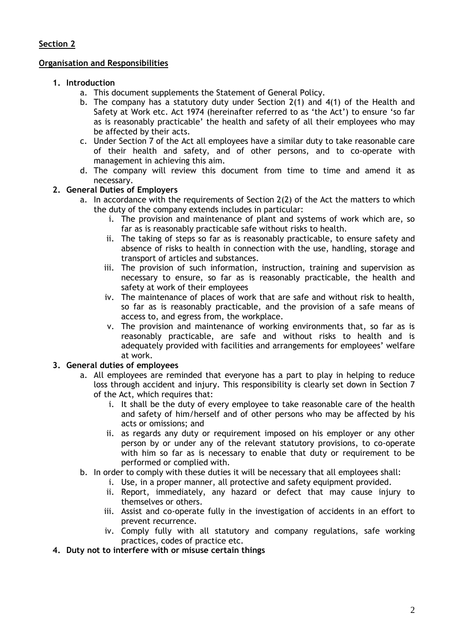### **Organisation and Responsibilities**

## **1. Introduction**

- a. This document supplements the Statement of General Policy.
- b. The company has a statutory duty under Section 2(1) and 4(1) of the Health and Safety at Work etc. Act 1974 (hereinafter referred to as 'the Act') to ensure 'so far as is reasonably practicable' the health and safety of all their employees who may be affected by their acts.
- c. Under Section 7 of the Act all employees have a similar duty to take reasonable care of their health and safety, and of other persons, and to co-operate with management in achieving this aim.
- d. The company will review this document from time to time and amend it as necessary.

## **2. General Duties of Employers**

- a. In accordance with the requirements of Section 2(2) of the Act the matters to which the duty of the company extends includes in particular:
	- i. The provision and maintenance of plant and systems of work which are, so far as is reasonably practicable safe without risks to health.
	- ii. The taking of steps so far as is reasonably practicable, to ensure safety and absence of risks to health in connection with the use, handling, storage and transport of articles and substances.
	- iii. The provision of such information, instruction, training and supervision as necessary to ensure, so far as is reasonably practicable, the health and safety at work of their employees
	- iv. The maintenance of places of work that are safe and without risk to health, so far as is reasonably practicable, and the provision of a safe means of access to, and egress from, the workplace.
	- v. The provision and maintenance of working environments that, so far as is reasonably practicable, are safe and without risks to health and is adequately provided with facilities and arrangements for employees' welfare at work.

## **3. General duties of employees**

- a. All employees are reminded that everyone has a part to play in helping to reduce loss through accident and injury. This responsibility is clearly set down in Section 7 of the Act, which requires that:
	- i. It shall be the duty of every employee to take reasonable care of the health and safety of him/herself and of other persons who may be affected by his acts or omissions; and
	- ii. as regards any duty or requirement imposed on his employer or any other person by or under any of the relevant statutory provisions, to co-operate with him so far as is necessary to enable that duty or requirement to be performed or complied with.
- b. In order to comply with these duties it will be necessary that all employees shall:
	- i. Use, in a proper manner, all protective and safety equipment provided.
	- ii. Report, immediately, any hazard or defect that may cause injury to themselves or others.
	- iii. Assist and co-operate fully in the investigation of accidents in an effort to prevent recurrence.
	- iv. Comply fully with all statutory and company regulations, safe working practices, codes of practice etc.
- **4. Duty not to interfere with or misuse certain things**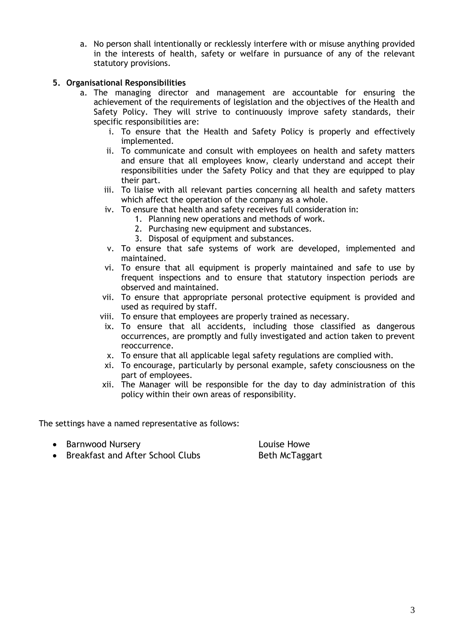a. No person shall intentionally or recklessly interfere with or misuse anything provided in the interests of health, safety or welfare in pursuance of any of the relevant statutory provisions.

## **5. Organisational Responsibilities**

- a. The managing director and management are accountable for ensuring the achievement of the requirements of legislation and the objectives of the Health and Safety Policy. They will strive to continuously improve safety standards, their specific responsibilities are:
	- i. To ensure that the Health and Safety Policy is properly and effectively implemented.
	- ii. To communicate and consult with employees on health and safety matters and ensure that all employees know, clearly understand and accept their responsibilities under the Safety Policy and that they are equipped to play their part.
	- iii. To liaise with all relevant parties concerning all health and safety matters which affect the operation of the company as a whole.
	- iv. To ensure that health and safety receives full consideration in:
		- 1. Planning new operations and methods of work.
		- 2. Purchasing new equipment and substances.
		- 3. Disposal of equipment and substances.
	- v. To ensure that safe systems of work are developed, implemented and maintained.
	- vi. To ensure that all equipment is properly maintained and safe to use by frequent inspections and to ensure that statutory inspection periods are observed and maintained.
	- vii. To ensure that appropriate personal protective equipment is provided and used as required by staff.
	- viii. To ensure that employees are properly trained as necessary.
	- ix. To ensure that all accidents, including those classified as dangerous occurrences, are promptly and fully investigated and action taken to prevent reoccurrence.
	- x. To ensure that all applicable legal safety regulations are complied with.
	- xi. To encourage, particularly by personal example, safety consciousness on the part of employees.
	- xii. The Manager will be responsible for the day to day administration of this policy within their own areas of responsibility.

The settings have a named representative as follows:

• Barnwood Nursery **Louise Howe** 

• Breakfast and After School Clubs Beth McTaggart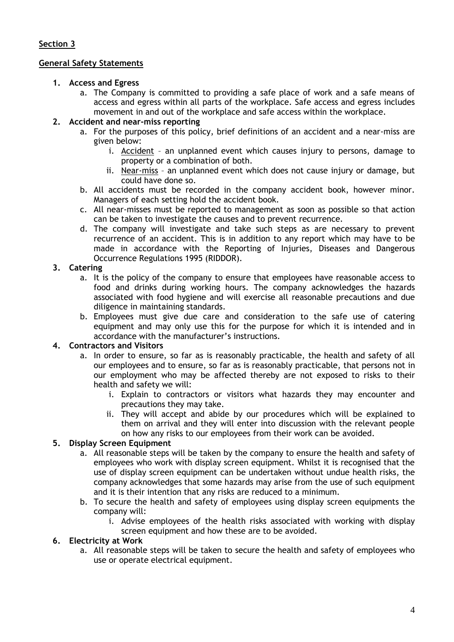### **General Safety Statements**

### **1. Access and Egress**

a. The Company is committed to providing a safe place of work and a safe means of access and egress within all parts of the workplace. Safe access and egress includes movement in and out of the workplace and safe access within the workplace.

## **2. Accident and near-miss reporting**

- a. For the purposes of this policy, brief definitions of an accident and a near-miss are given below:
	- i. Accident an unplanned event which causes injury to persons, damage to property or a combination of both.
	- ii. Near-miss an unplanned event which does not cause injury or damage, but could have done so.
- b. All accidents must be recorded in the company accident book, however minor. Managers of each setting hold the accident book.
- c. All near-misses must be reported to management as soon as possible so that action can be taken to investigate the causes and to prevent recurrence.
- d. The company will investigate and take such steps as are necessary to prevent recurrence of an accident. This is in addition to any report which may have to be made in accordance with the Reporting of Injuries, Diseases and Dangerous Occurrence Regulations 1995 (RIDDOR).

### **3. Catering**

- a. It is the policy of the company to ensure that employees have reasonable access to food and drinks during working hours. The company acknowledges the hazards associated with food hygiene and will exercise all reasonable precautions and due diligence in maintaining standards.
- b. Employees must give due care and consideration to the safe use of catering equipment and may only use this for the purpose for which it is intended and in accordance with the manufacturer's instructions.

### **4. Contractors and Visitors**

- a. In order to ensure, so far as is reasonably practicable, the health and safety of all our employees and to ensure, so far as is reasonably practicable, that persons not in our employment who may be affected thereby are not exposed to risks to their health and safety we will:
	- i. Explain to contractors or visitors what hazards they may encounter and precautions they may take.
	- ii. They will accept and abide by our procedures which will be explained to them on arrival and they will enter into discussion with the relevant people on how any risks to our employees from their work can be avoided.

## **5. Display Screen Equipment**

- a. All reasonable steps will be taken by the company to ensure the health and safety of employees who work with display screen equipment. Whilst it is recognised that the use of display screen equipment can be undertaken without undue health risks, the company acknowledges that some hazards may arise from the use of such equipment and it is their intention that any risks are reduced to a minimum.
- b. To secure the health and safety of employees using display screen equipments the company will:
	- i. Advise employees of the health risks associated with working with display screen equipment and how these are to be avoided.

#### **6. Electricity at Work**

a. All reasonable steps will be taken to secure the health and safety of employees who use or operate electrical equipment.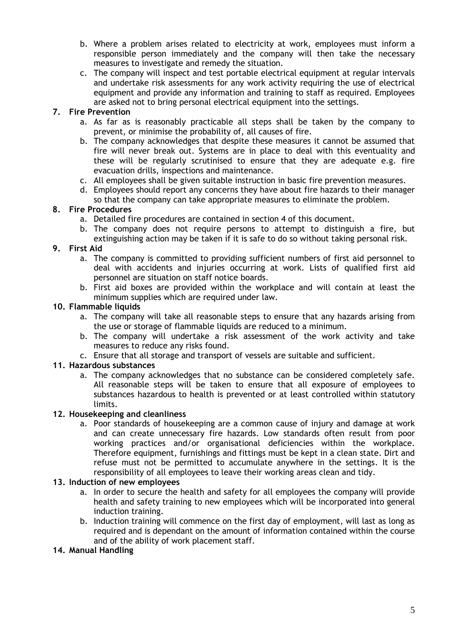- b. Where a problem arises related to electricity at work, employees must inform a responsible person immediately and the company will then take the necessary measures to investigate and remedy the situation.
- c. The company will inspect and test portable electrical equipment at regular intervals and undertake risk assessments for any work activity requiring the use of electrical equipment and provide any information and training to staff as required. Employees are asked not to bring personal electrical equipment into the settings.

## **7. Fire Prevention**

- a. As far as is reasonably practicable all steps shall be taken by the company to prevent, or minimise the probability of, all causes of fire.
- b. The company acknowledges that despite these measures it cannot be assumed that fire will never break out. Systems are in place to deal with this eventuality and these will be regularly scrutinised to ensure that they are adequate e.g. fire evacuation drills, inspections and maintenance.
- c. All employees shall be given suitable instruction in basic fire prevention measures.
- d. Employees should report any concerns they have about fire hazards to their manager so that the company can take appropriate measures to eliminate the problem.

### **8. Fire Procedures**

- a. Detailed fire procedures are contained in section 4 of this document.
- b. The company does not require persons to attempt to distinguish a fire, but extinguishing action may be taken if it is safe to do so without taking personal risk.

### **9. First Aid**

- a. The company is committed to providing sufficient numbers of first aid personnel to deal with accidents and injuries occurring at work. Lists of qualified first aid personnel are situation on staff notice boards.
- b. First aid boxes are provided within the workplace and will contain at least the minimum supplies which are required under law.

### **10. Flammable liquids**

- a. The company will take all reasonable steps to ensure that any hazards arising from the use or storage of flammable liquids are reduced to a minimum.
- b. The company will undertake a risk assessment of the work activity and take measures to reduce any risks found.
- c. Ensure that all storage and transport of vessels are suitable and sufficient.

## **11. Hazardous substances**

a. The company acknowledges that no substance can be considered completely safe. All reasonable steps will be taken to ensure that all exposure of employees to substances hazardous to health is prevented or at least controlled within statutory limits.

#### **12. Housekeeping and cleanliness**

a. Poor standards of housekeeping are a common cause of injury and damage at work and can create unnecessary fire hazards. Low standards often result from poor working practices and/or organisational deficiencies within the workplace. Therefore equipment, furnishings and fittings must be kept in a clean state. Dirt and refuse must not be permitted to accumulate anywhere in the settings. It is the responsibility of all employees to leave their working areas clean and tidy.

#### **13. Induction of new employees**

- a. In order to secure the health and safety for all employees the company will provide health and safety training to new employees which will be incorporated into general induction training.
- b. Induction training will commence on the first day of employment, will last as long as required and is dependant on the amount of information contained within the course and of the ability of work placement staff.

#### **14. Manual Handling**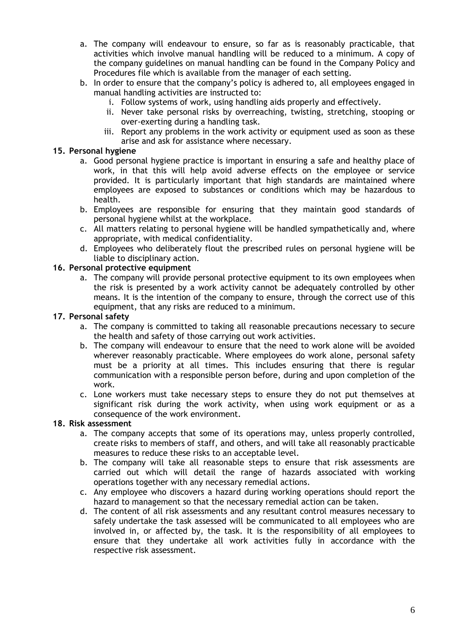- a. The company will endeavour to ensure, so far as is reasonably practicable, that activities which involve manual handling will be reduced to a minimum. A copy of the company guidelines on manual handling can be found in the Company Policy and Procedures file which is available from the manager of each setting.
- b. In order to ensure that the company's policy is adhered to, all employees engaged in manual handling activities are instructed to:
	- i. Follow systems of work, using handling aids properly and effectively.
	- ii. Never take personal risks by overreaching, twisting, stretching, stooping or over-exerting during a handling task.
	- iii. Report any problems in the work activity or equipment used as soon as these arise and ask for assistance where necessary.

### **15. Personal hygiene**

- a. Good personal hygiene practice is important in ensuring a safe and healthy place of work, in that this will help avoid adverse effects on the employee or service provided. It is particularly important that high standards are maintained where employees are exposed to substances or conditions which may be hazardous to health.
- b. Employees are responsible for ensuring that they maintain good standards of personal hygiene whilst at the workplace.
- c. All matters relating to personal hygiene will be handled sympathetically and, where appropriate, with medical confidentiality.
- d. Employees who deliberately flout the prescribed rules on personal hygiene will be liable to disciplinary action.

#### **16. Personal protective equipment**

a. The company will provide personal protective equipment to its own employees when the risk is presented by a work activity cannot be adequately controlled by other means. It is the intention of the company to ensure, through the correct use of this equipment, that any risks are reduced to a minimum.

#### **17. Personal safety**

- a. The company is committed to taking all reasonable precautions necessary to secure the health and safety of those carrying out work activities.
- b. The company will endeavour to ensure that the need to work alone will be avoided wherever reasonably practicable. Where employees do work alone, personal safety must be a priority at all times. This includes ensuring that there is regular communication with a responsible person before, during and upon completion of the work.
- c. Lone workers must take necessary steps to ensure they do not put themselves at significant risk during the work activity, when using work equipment or as a consequence of the work environment.

#### **18. Risk assessment**

- a. The company accepts that some of its operations may, unless properly controlled, create risks to members of staff, and others, and will take all reasonably practicable measures to reduce these risks to an acceptable level.
- b. The company will take all reasonable steps to ensure that risk assessments are carried out which will detail the range of hazards associated with working operations together with any necessary remedial actions.
- c. Any employee who discovers a hazard during working operations should report the hazard to management so that the necessary remedial action can be taken.
- d. The content of all risk assessments and any resultant control measures necessary to safely undertake the task assessed will be communicated to all employees who are involved in, or affected by, the task. It is the responsibility of all employees to ensure that they undertake all work activities fully in accordance with the respective risk assessment.